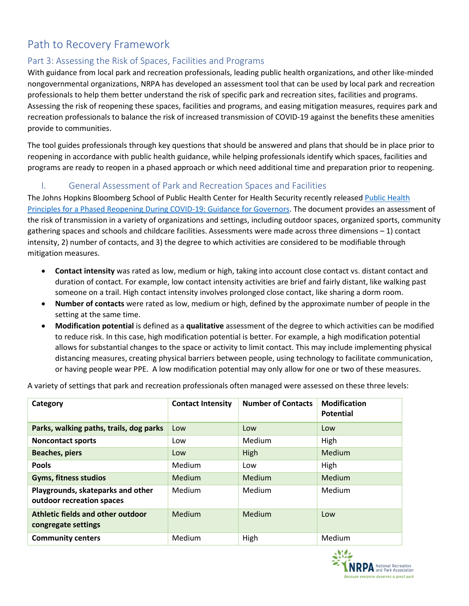# Path to Recovery Framework

# Part 3: Assessing the Risk of Spaces, Facilities and Programs

With guidance from local park and recreation professionals, leading public health organizations, and other like-minded nongovernmental organizations, NRPA has developed an assessment tool that can be used by local park and recreation professionals to help them better understand the risk of specific park and recreation sites, facilities and programs. Assessing the risk of reopening these spaces, facilities and programs, and easing mitigation measures, requires park and recreation professionals to balance the risk of increased transmission of COVID-19 against the benefits these amenities provide to communities.

The tool guides professionals through key questions that should be answered and plans that should be in place prior to reopening in accordance with public health guidance, while helping professionals identify which spaces, facilities and programs are ready to reopen in a phased approach or which need additional time and preparation prior to reopening.

## I. General Assessment of Park and Recreation Spaces and Facilities

The Johns Hopkins Bloomberg School of Public Health Center for Health Security recently released Public Health [Principles for a Phased Reopening During COVID-19: Guidance for Governors.](https://www.centerforhealthsecurity.org/our-work/pubs_archive/pubs-pdfs/2020/reopening-guidance-governors.pdf) The document provides an assessment of the risk of transmission in a variety of organizations and settings, including outdoor spaces, organized sports, community gathering spaces and schools and childcare facilities. Assessments were made across three dimensions – 1) contact intensity, 2) number of contacts, and 3) the degree to which activities are considered to be modifiable through mitigation measures.

- **Contact intensity** was rated as low, medium or high, taking into account close contact vs. distant contact and duration of contact. For example, low contact intensity activities are brief and fairly distant, like walking past someone on a trail. High contact intensity involves prolonged close contact, like sharing a dorm room.
- **Number of contacts** were rated as low, medium or high, defined by the approximate number of people in the setting at the same time.
- **Modification potential** is defined as a **qualitative** assessment of the degree to which activities can be modified to reduce risk. In this case, high modification potential is better. For example, a high modification potential allows for substantial changes to the space or activity to limit contact. This may include implementing physical distancing measures, creating physical barriers between people, using technology to facilitate communication, or having people wear PPE. A low modification potential may only allow for one or two of these measures.

A variety of settings that park and recreation professionals often managed were assessed on these three levels:

| Category                                                       | <b>Contact Intensity</b> | <b>Number of Contacts</b> | <b>Modification</b><br><b>Potential</b> |
|----------------------------------------------------------------|--------------------------|---------------------------|-----------------------------------------|
| Parks, walking paths, trails, dog parks                        | Low                      | Low                       | Low                                     |
| <b>Noncontact sports</b>                                       | Low                      | Medium                    | High                                    |
| <b>Beaches, piers</b>                                          | Low                      | High                      | Medium                                  |
| <b>Pools</b>                                                   | Medium                   | Low                       | High                                    |
| <b>Gyms, fitness studios</b>                                   | Medium                   | Medium                    | Medium                                  |
| Playgrounds, skateparks and other<br>outdoor recreation spaces | Medium                   | Medium                    | Medium                                  |
| Athletic fields and other outdoor<br>congregate settings       | <b>Medium</b>            | Medium                    | Low                                     |
| <b>Community centers</b>                                       | Medium                   | High                      | Medium                                  |

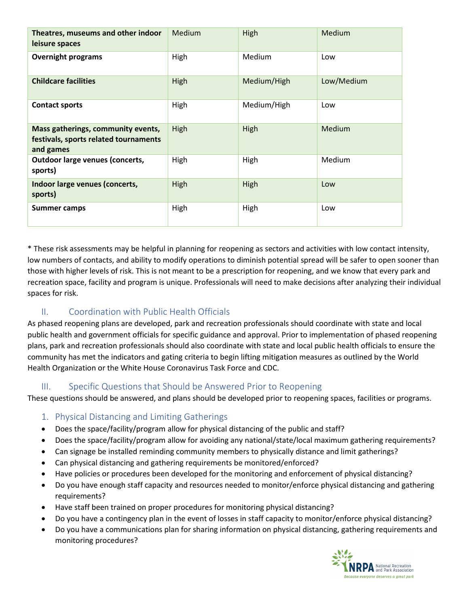| Theatres, museums and other indoor<br>leisure spaces                                     | Medium | High        | Medium        |
|------------------------------------------------------------------------------------------|--------|-------------|---------------|
| <b>Overnight programs</b>                                                                | High   | Medium      | Low           |
| <b>Childcare facilities</b>                                                              | High   | Medium/High | Low/Medium    |
| <b>Contact sports</b>                                                                    | High   | Medium/High | Low           |
| Mass gatherings, community events,<br>festivals, sports related tournaments<br>and games | High   | High        | <b>Medium</b> |
| <b>Outdoor large venues (concerts,</b><br>sports)                                        | High   | High        | Medium        |
| Indoor large venues (concerts,<br>sports)                                                | High   | High        | Low           |
| <b>Summer camps</b>                                                                      | High   | High        | Low           |

\* These risk assessments may be helpful in planning for reopening as sectors and activities with low contact intensity, low numbers of contacts, and ability to modify operations to diminish potential spread will be safer to open sooner than those with higher levels of risk. This is not meant to be a prescription for reopening, and we know that every park and recreation space, facility and program is unique. Professionals will need to make decisions after analyzing their individual spaces for risk.

# II. Coordination with Public Health Officials

As phased reopening plans are developed, park and recreation professionals should coordinate with state and local public health and government officials for specific guidance and approval. Prior to implementation of phased reopening plans, park and recreation professionals should also coordinate with state and local public health officials to ensure the community has met the indicators and gating criteria to begin lifting mitigation measures as outlined by the World Health Organization or the White House Coronavirus Task Force and CDC.

# III. Specific Questions that Should be Answered Prior to Reopening

These questions should be answered, and plans should be developed prior to reopening spaces, facilities or programs.

- 1. Physical Distancing and Limiting Gatherings
- Does the space/facility/program allow for physical distancing of the public and staff?
- Does the space/facility/program allow for avoiding any national/state/local maximum gathering requirements?
- Can signage be installed reminding community members to physically distance and limit gatherings?
- Can physical distancing and gathering requirements be monitored/enforced?
- Have policies or procedures been developed for the monitoring and enforcement of physical distancing?
- Do you have enough staff capacity and resources needed to monitor/enforce physical distancing and gathering requirements?
- Have staff been trained on proper procedures for monitoring physical distancing?
- Do you have a contingency plan in the event of losses in staff capacity to monitor/enforce physical distancing?
- Do you have a communications plan for sharing information on physical distancing, gathering requirements and monitoring procedures?

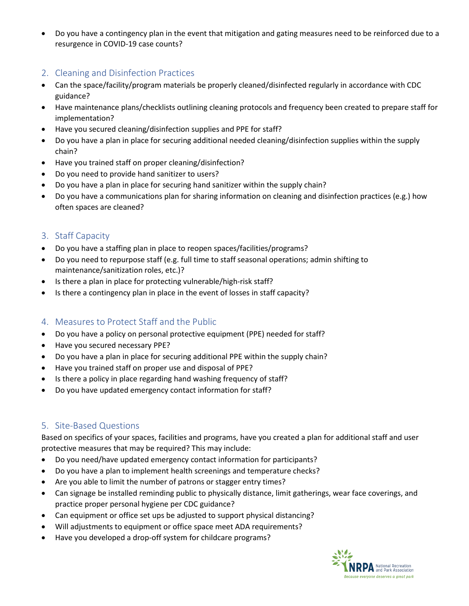• Do you have a contingency plan in the event that mitigation and gating measures need to be reinforced due to a resurgence in COVID-19 case counts?

## 2. Cleaning and Disinfection Practices

- Can the space/facility/program materials be properly cleaned/disinfected regularly in accordance with CDC guidance?
- Have maintenance plans/checklists outlining cleaning protocols and frequency been created to prepare staff for implementation?
- Have you secured cleaning/disinfection supplies and PPE for staff?
- Do you have a plan in place for securing additional needed cleaning/disinfection supplies within the supply chain?
- Have you trained staff on proper cleaning/disinfection?
- Do you need to provide hand sanitizer to users?
- Do you have a plan in place for securing hand sanitizer within the supply chain?
- Do you have a communications plan for sharing information on cleaning and disinfection practices (e.g.) how often spaces are cleaned?

## 3. Staff Capacity

- Do you have a staffing plan in place to reopen spaces/facilities/programs?
- Do you need to repurpose staff (e.g. full time to staff seasonal operations; admin shifting to maintenance/sanitization roles, etc.)?
- Is there a plan in place for protecting vulnerable/high-risk staff?
- Is there a contingency plan in place in the event of losses in staff capacity?

## 4. Measures to Protect Staff and the Public

- Do you have a policy on personal protective equipment (PPE) needed for staff?
- Have you secured necessary PPE?
- Do you have a plan in place for securing additional PPE within the supply chain?
- Have you trained staff on proper use and disposal of PPE?
- Is there a policy in place regarding hand washing frequency of staff?
- Do you have updated emergency contact information for staff?

## 5. Site-Based Questions

Based on specifics of your spaces, facilities and programs, have you created a plan for additional staff and user protective measures that may be required? This may include:

- Do you need/have updated emergency contact information for participants?
- Do you have a plan to implement health screenings and temperature checks?
- Are you able to limit the number of patrons or stagger entry times?
- Can signage be installed reminding public to physically distance, limit gatherings, wear face coverings, and practice proper personal hygiene per CDC guidance?
- Can equipment or office set ups be adjusted to support physical distancing?
- Will adjustments to equipment or office space meet ADA requirements?
- Have you developed a drop-off system for childcare programs?

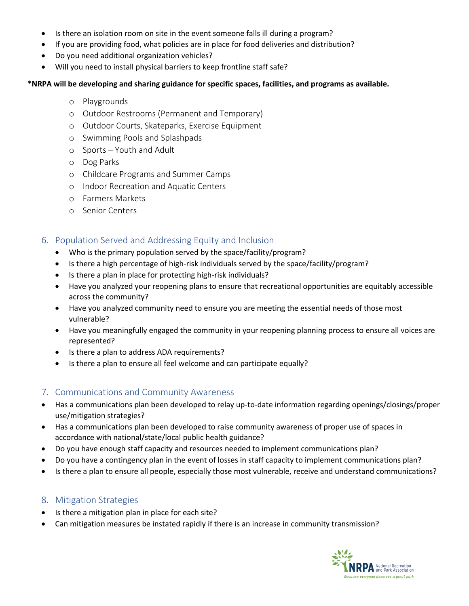- Is there an isolation room on site in the event someone falls ill during a program?
- If you are providing food, what policies are in place for food deliveries and distribution?
- Do you need additional organization vehicles?
- Will you need to install physical barriers to keep frontline staff safe?

#### **\*NRPA will be developing and sharing guidance for specific spaces, facilities, and programs as available.**

- o Playgrounds
- o Outdoor Restrooms (Permanent and Temporary)
- o Outdoor Courts, Skateparks, Exercise Equipment
- o Swimming Pools and Splashpads
- o Sports Youth and Adult
- o Dog Parks
- o Childcare Programs and Summer Camps
- o Indoor Recreation and Aquatic Centers
- o Farmers Markets
- o Senior Centers

### 6. Population Served and Addressing Equity and Inclusion

- Who is the primary population served by the space/facility/program?
- Is there a high percentage of high-risk individuals served by the space/facility/program?
- Is there a plan in place for protecting high-risk individuals?
- Have you analyzed your reopening plans to ensure that recreational opportunities are equitably accessible across the community?
- Have you analyzed community need to ensure you are meeting the essential needs of those most vulnerable?
- Have you meaningfully engaged the community in your reopening planning process to ensure all voices are represented?
- Is there a plan to address ADA requirements?
- Is there a plan to ensure all feel welcome and can participate equally?

#### 7. Communications and Community Awareness

- Has a communications plan been developed to relay up-to-date information regarding openings/closings/proper use/mitigation strategies?
- Has a communications plan been developed to raise community awareness of proper use of spaces in accordance with national/state/local public health guidance?
- Do you have enough staff capacity and resources needed to implement communications plan?
- Do you have a contingency plan in the event of losses in staff capacity to implement communications plan?
- Is there a plan to ensure all people, especially those most vulnerable, receive and understand communications?

#### 8. Mitigation Strategies

- Is there a mitigation plan in place for each site?
- Can mitigation measures be instated rapidly if there is an increase in community transmission?